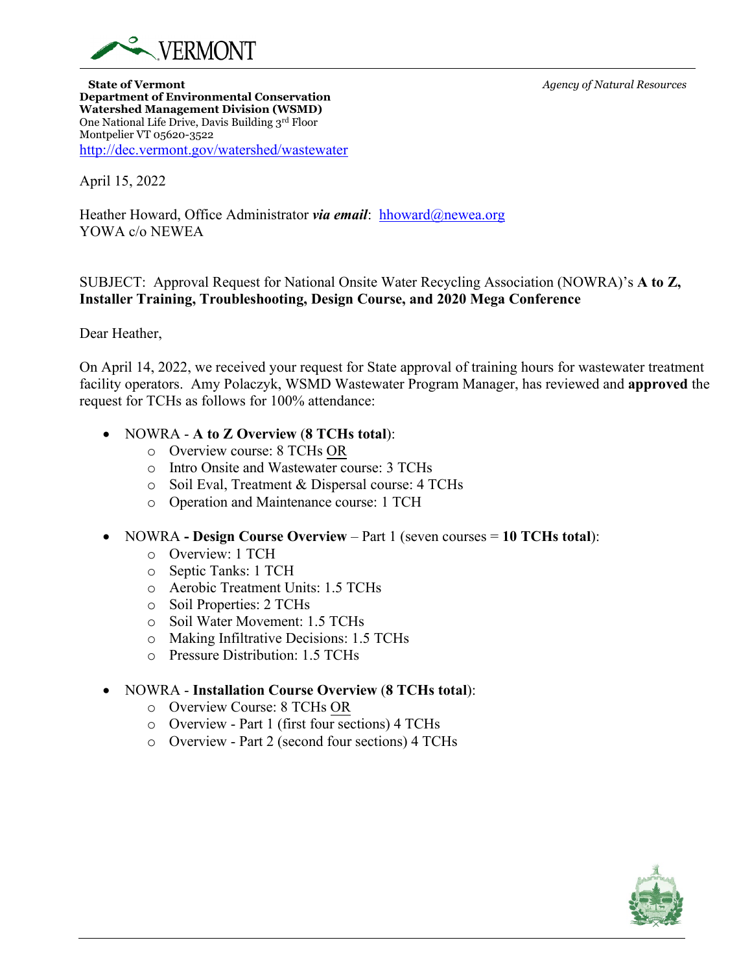

**State of Vermont** *Agency of Natural Resources* **Department of Environmental Conservation Watershed Management Division (WSMD)** One National Life Drive, Davis Building 3rd Floor Montpelier VT 05620-3522 <http://dec.vermont.gov/watershed/wastewater>

April 15, 2022

Heather Howard, Office Administrator *via email*: [hhoward@newea.org](mailto:hhoward@newea.org) YOWA c/o NEWEA

SUBJECT: Approval Request for National Onsite Water Recycling Association (NOWRA)'s **A to Z, Installer Training, Troubleshooting, Design Course, and 2020 Mega Conference**

Dear Heather,

On April 14, 2022, we received your request for State approval of training hours for wastewater treatment facility operators. Amy Polaczyk, WSMD Wastewater Program Manager, has reviewed and **approved** the request for TCHs as follows for 100% attendance:

## • NOWRA - **A to Z Overview** (**8 TCHs total**):

- o Overview course: 8 TCHs OR
- o Intro Onsite and Wastewater course: 3 TCHs
- o Soil Eval, Treatment & Dispersal course: 4 TCHs
- o Operation and Maintenance course: 1 TCH
- NOWRA  **Design Course Overview** Part 1 (seven courses = **10 TCHs total**):
	- o Overview: 1 TCH
	- o Septic Tanks: 1 TCH
	- o Aerobic Treatment Units: 1.5 TCHs
	- o Soil Properties: 2 TCHs
	- o Soil Water Movement: 1.5 TCHs
	- o Making Infiltrative Decisions: 1.5 TCHs
	- o Pressure Distribution: 1.5 TCHs

## • NOWRA - **Installation Course Overview** (**8 TCHs total**):

- o Overview Course: 8 TCHs OR
- o Overview Part 1 (first four sections) 4 TCHs
- o Overview Part 2 (second four sections) 4 TCHs